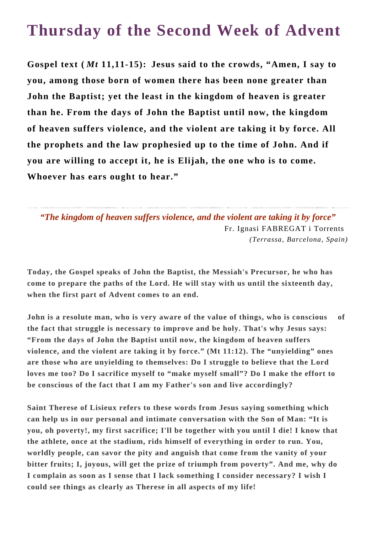## **Thursday of the Second Week of Advent**

**Gospel text (** *Mt* **11,11-15): Jesus said to the crowds, "Amen, I say to you, among those born of women there has been none greater than John the Baptist; yet the least in the kingdom of heaven is greater than he. From the days of John the Baptist until now, the kingdom of heaven suffers violence, and the violent are taking it by force. All the prophets and the law prophesied up to the time of John. And if you are willing to accept it, he is Elijah, the one who is to come. Whoever has ears ought to hear."**

*"The kingdom of heaven suffers violence, and the violent are taking it by force"* Fr. Ignasi FABREGAT i Torrents *(Terrassa, Barcelona, Spain)*

**Today, the Gospel speaks of John the Baptist, the Messiah's Precursor, he who has come to prepare the paths of the Lord. He will stay with us until the sixteenth day, when the first part of Advent comes to an end.**

**John is a resolute man, who is very aware of the value of things, who is conscious of the fact that struggle is necessary to improve and be holy. That's why Jesus says: "From the days of John the Baptist until now, the kingdom of heaven suffers violence, and the violent are taking it by force." (Mt 11:12). The "unyielding" ones are those who are unyielding to themselves: Do I struggle to believe that the Lord loves me too? Do I sacrifice myself to "make myself small"? Do I make the effort to be conscious of the fact that I am my Father's son and live accordingly?**

**Saint Therese of Lisieux refers to these words from Jesus saying something which can help us in our personal and intimate conversation with the Son of Man: "It is you, oh poverty!, my first sacrifice; I'll be together with you until I die! I know that the athlete, once at the stadium, rids himself of everything in order to run. You, worldly people, can savor the pity and anguish that come from the vanity of your bitter fruits; I, joyous, will get the prize of triumph from poverty". And me, why do I complain as soon as I sense that I lack something I consider necessary? I wish I could see things as clearly as Therese in all aspects of my life!**